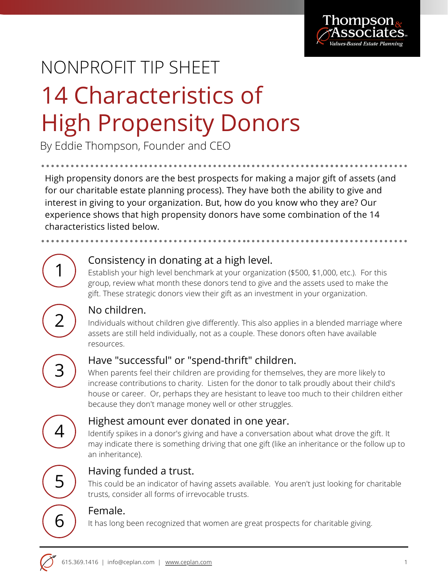

# 14 Characteristics of High Propensity Donors NONPROFIT TIP SHEET

By Eddie Thompson, Founder and CEO

High propensity donors are the best prospects for making a major gift of assets (and for our charitable estate planning process). They have both the ability to give and interest in giving to your organization. But, how do you know who they are? Our experience shows that high propensity donors have some combination of the 14 characteristics listed below.

#### Consistency in donating at a high level.

Establish your high level benchmark at your organization (\$500, \$1,000, etc.). For this group, review what month these donors tend to give and the assets used to make the gift. These strategic donors view their gift as an investment in your organization.

### No children.

Individuals without children give differently. This also applies in a blended marriage where assets are still held individually, not as a couple. These donors often have available resources.



1

2

## Have "successful" or "spend-thrift" children.

When parents feel their children are providing for themselves, they are more likely to increase contributions to charity. Listen for the donor to talk proudly about their child's house or career. Or, perhaps they are hesistant to leave too much to their children either because they don't manage money well or other struggles.



#### Highest amount ever donated in one year.

Identify spikes in a donor's giving and have a conversation about what drove the gift. It may indicate there is something driving that one gift (like an inheritance or the follow up to an inheritance).



### Having funded a trust.

This could be an indicator of having assets available. You aren't just looking for charitable trusts, consider all forms of irrevocable trusts.

#### Female.

 $\overline{6}$   $\overline{)}$  It has long been recognized that women are great prospects for charitable giving.